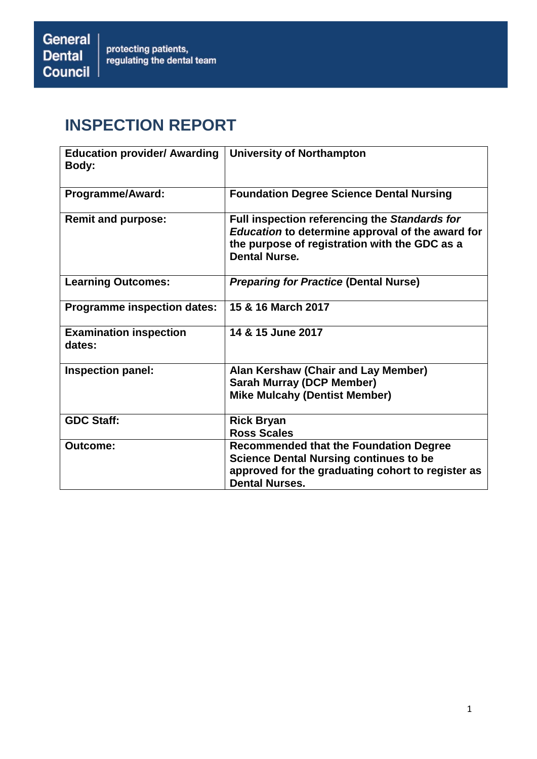# **INSPECTION REPORT**

| <b>Education provider/ Awarding</b><br>Body: | <b>University of Northampton</b>                                                                                                                                             |
|----------------------------------------------|------------------------------------------------------------------------------------------------------------------------------------------------------------------------------|
| Programme/Award:                             | <b>Foundation Degree Science Dental Nursing</b>                                                                                                                              |
| <b>Remit and purpose:</b>                    | Full inspection referencing the Standards for<br>Education to determine approval of the award for<br>the purpose of registration with the GDC as a<br><b>Dental Nurse.</b>   |
| <b>Learning Outcomes:</b>                    | <b>Preparing for Practice (Dental Nurse)</b>                                                                                                                                 |
| <b>Programme inspection dates:</b>           | 15 & 16 March 2017                                                                                                                                                           |
| <b>Examination inspection</b><br>dates:      | 14 & 15 June 2017                                                                                                                                                            |
| Inspection panel:                            | Alan Kershaw (Chair and Lay Member)<br><b>Sarah Murray (DCP Member)</b><br><b>Mike Mulcahy (Dentist Member)</b>                                                              |
| <b>GDC Staff:</b>                            | <b>Rick Bryan</b><br><b>Ross Scales</b>                                                                                                                                      |
| Outcome:                                     | <b>Recommended that the Foundation Degree</b><br><b>Science Dental Nursing continues to be</b><br>approved for the graduating cohort to register as<br><b>Dental Nurses.</b> |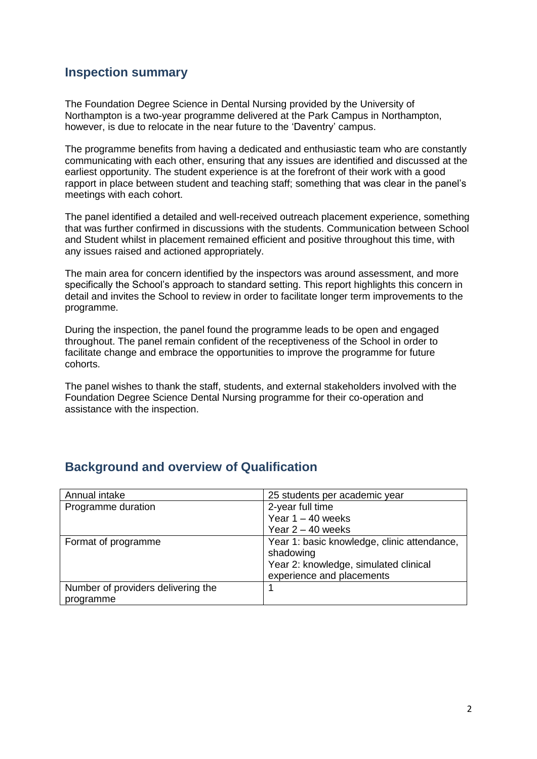## **Inspection summary**

The Foundation Degree Science in Dental Nursing provided by the University of Northampton is a two-year programme delivered at the Park Campus in Northampton, however, is due to relocate in the near future to the 'Daventry' campus.

The programme benefits from having a dedicated and enthusiastic team who are constantly communicating with each other, ensuring that any issues are identified and discussed at the earliest opportunity. The student experience is at the forefront of their work with a good rapport in place between student and teaching staff; something that was clear in the panel's meetings with each cohort.

The panel identified a detailed and well-received outreach placement experience, something that was further confirmed in discussions with the students. Communication between School and Student whilst in placement remained efficient and positive throughout this time, with any issues raised and actioned appropriately.

The main area for concern identified by the inspectors was around assessment, and more specifically the School's approach to standard setting. This report highlights this concern in detail and invites the School to review in order to facilitate longer term improvements to the programme.

During the inspection, the panel found the programme leads to be open and engaged throughout. The panel remain confident of the receptiveness of the School in order to facilitate change and embrace the opportunities to improve the programme for future cohorts.

The panel wishes to thank the staff, students, and external stakeholders involved with the Foundation Degree Science Dental Nursing programme for their co-operation and assistance with the inspection.

| Annual intake                      | 25 students per academic year                                                                                                  |
|------------------------------------|--------------------------------------------------------------------------------------------------------------------------------|
| Programme duration                 | 2-year full time                                                                                                               |
|                                    | Year $1 - 40$ weeks                                                                                                            |
|                                    | Year $2 - 40$ weeks                                                                                                            |
| Format of programme                | Year 1: basic knowledge, clinic attendance,<br>shadowing<br>Year 2: knowledge, simulated clinical<br>experience and placements |
| Number of providers delivering the |                                                                                                                                |
| programme                          |                                                                                                                                |

## **Background and overview of Qualification**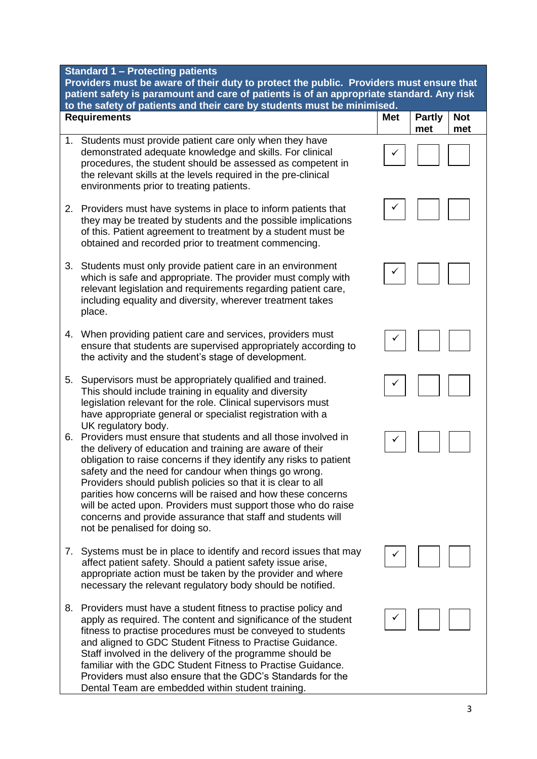**Standard 1 – Protecting patients** 

**Providers must be aware of their duty to protect the public. Providers must ensure that patient safety is paramount and care of patients is of an appropriate standard. Any risk to the safety of patients and their care by students must be minimised.**

|    | lo the salety of patients and their care by students must be minimized.<br><b>Requirements</b>                                                                                                                                                                                                                                                                                                                                                                                                                                                                                    | <b>Met</b> | <b>Partly</b><br>met | <b>Not</b><br>met |
|----|-----------------------------------------------------------------------------------------------------------------------------------------------------------------------------------------------------------------------------------------------------------------------------------------------------------------------------------------------------------------------------------------------------------------------------------------------------------------------------------------------------------------------------------------------------------------------------------|------------|----------------------|-------------------|
| 1. | Students must provide patient care only when they have<br>demonstrated adequate knowledge and skills. For clinical<br>procedures, the student should be assessed as competent in<br>the relevant skills at the levels required in the pre-clinical<br>environments prior to treating patients.                                                                                                                                                                                                                                                                                    |            |                      |                   |
| 2. | Providers must have systems in place to inform patients that<br>they may be treated by students and the possible implications<br>of this. Patient agreement to treatment by a student must be<br>obtained and recorded prior to treatment commencing.                                                                                                                                                                                                                                                                                                                             |            |                      |                   |
| 3. | Students must only provide patient care in an environment<br>which is safe and appropriate. The provider must comply with<br>relevant legislation and requirements regarding patient care,<br>including equality and diversity, wherever treatment takes<br>place.                                                                                                                                                                                                                                                                                                                |            |                      |                   |
|    | 4. When providing patient care and services, providers must<br>ensure that students are supervised appropriately according to<br>the activity and the student's stage of development.                                                                                                                                                                                                                                                                                                                                                                                             |            |                      |                   |
| 5. | Supervisors must be appropriately qualified and trained.<br>This should include training in equality and diversity<br>legislation relevant for the role. Clinical supervisors must<br>have appropriate general or specialist registration with a                                                                                                                                                                                                                                                                                                                                  |            |                      |                   |
| 6. | UK regulatory body.<br>Providers must ensure that students and all those involved in<br>the delivery of education and training are aware of their<br>obligation to raise concerns if they identify any risks to patient<br>safety and the need for candour when things go wrong.<br>Providers should publish policies so that it is clear to all<br>parities how concerns will be raised and how these concerns<br>will be acted upon. Providers must support those who do raise<br>concerns and provide assurance that staff and students will<br>not be penalised for doing so. |            |                      |                   |
| 7. | Systems must be in place to identify and record issues that may<br>affect patient safety. Should a patient safety issue arise,<br>appropriate action must be taken by the provider and where<br>necessary the relevant regulatory body should be notified.                                                                                                                                                                                                                                                                                                                        |            |                      |                   |
| 8. | Providers must have a student fitness to practise policy and<br>apply as required. The content and significance of the student<br>fitness to practise procedures must be conveyed to students<br>and aligned to GDC Student Fitness to Practise Guidance.<br>Staff involved in the delivery of the programme should be<br>familiar with the GDC Student Fitness to Practise Guidance.<br>Providers must also ensure that the GDC's Standards for the                                                                                                                              |            |                      |                   |

Dental Team are embedded within student training.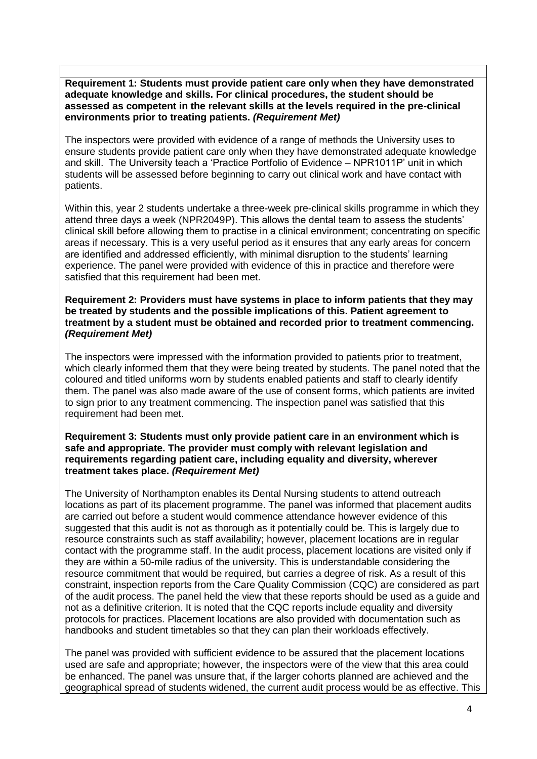**Requirement 1: Students must provide patient care only when they have demonstrated adequate knowledge and skills. For clinical procedures, the student should be assessed as competent in the relevant skills at the levels required in the pre-clinical environments prior to treating patients.** *(Requirement Met)*

The inspectors were provided with evidence of a range of methods the University uses to ensure students provide patient care only when they have demonstrated adequate knowledge and skill. The University teach a 'Practice Portfolio of Evidence – NPR1011P' unit in which students will be assessed before beginning to carry out clinical work and have contact with patients.

Within this, year 2 students undertake a three-week pre-clinical skills programme in which they attend three days a week (NPR2049P). This allows the dental team to assess the students' clinical skill before allowing them to practise in a clinical environment; concentrating on specific areas if necessary. This is a very useful period as it ensures that any early areas for concern are identified and addressed efficiently, with minimal disruption to the students' learning experience. The panel were provided with evidence of this in practice and therefore were satisfied that this requirement had been met.

#### **Requirement 2: Providers must have systems in place to inform patients that they may be treated by students and the possible implications of this. Patient agreement to treatment by a student must be obtained and recorded prior to treatment commencing.**  *(Requirement Met)*

The inspectors were impressed with the information provided to patients prior to treatment, which clearly informed them that they were being treated by students. The panel noted that the coloured and titled uniforms worn by students enabled patients and staff to clearly identify them. The panel was also made aware of the use of consent forms, which patients are invited to sign prior to any treatment commencing. The inspection panel was satisfied that this requirement had been met.

#### **Requirement 3: Students must only provide patient care in an environment which is safe and appropriate. The provider must comply with relevant legislation and requirements regarding patient care, including equality and diversity, wherever treatment takes place.** *(Requirement Met)*

The University of Northampton enables its Dental Nursing students to attend outreach locations as part of its placement programme. The panel was informed that placement audits are carried out before a student would commence attendance however evidence of this suggested that this audit is not as thorough as it potentially could be. This is largely due to resource constraints such as staff availability; however, placement locations are in regular contact with the programme staff. In the audit process, placement locations are visited only if they are within a 50-mile radius of the university. This is understandable considering the resource commitment that would be required, but carries a degree of risk. As a result of this constraint, inspection reports from the Care Quality Commission (CQC) are considered as part of the audit process. The panel held the view that these reports should be used as a guide and not as a definitive criterion. It is noted that the CQC reports include equality and diversity protocols for practices. Placement locations are also provided with documentation such as handbooks and student timetables so that they can plan their workloads effectively.

The panel was provided with sufficient evidence to be assured that the placement locations used are safe and appropriate; however, the inspectors were of the view that this area could be enhanced. The panel was unsure that, if the larger cohorts planned are achieved and the geographical spread of students widened, the current audit process would be as effective. This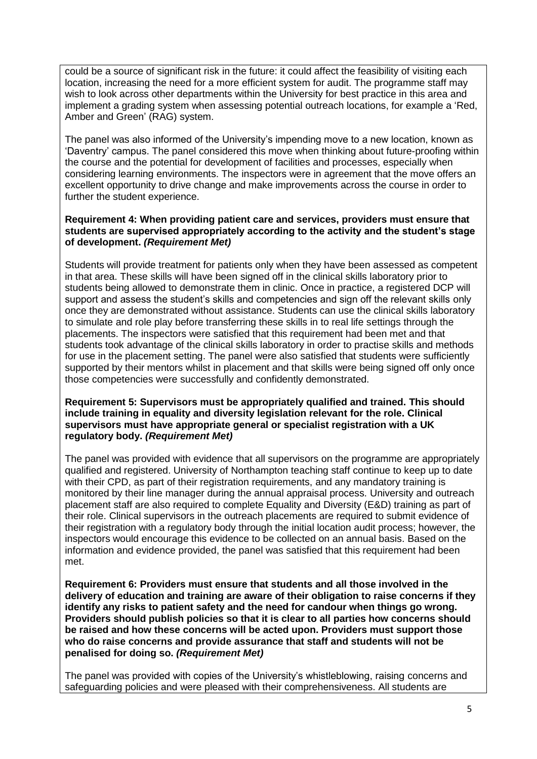could be a source of significant risk in the future: it could affect the feasibility of visiting each location, increasing the need for a more efficient system for audit. The programme staff may wish to look across other departments within the University for best practice in this area and implement a grading system when assessing potential outreach locations, for example a 'Red, Amber and Green' (RAG) system.

The panel was also informed of the University's impending move to a new location, known as 'Daventry' campus. The panel considered this move when thinking about future-proofing within the course and the potential for development of facilities and processes, especially when considering learning environments. The inspectors were in agreement that the move offers an excellent opportunity to drive change and make improvements across the course in order to further the student experience.

#### **Requirement 4: When providing patient care and services, providers must ensure that students are supervised appropriately according to the activity and the student's stage of development.** *(Requirement Met)*

Students will provide treatment for patients only when they have been assessed as competent in that area. These skills will have been signed off in the clinical skills laboratory prior to students being allowed to demonstrate them in clinic. Once in practice, a registered DCP will support and assess the student's skills and competencies and sign off the relevant skills only once they are demonstrated without assistance. Students can use the clinical skills laboratory to simulate and role play before transferring these skills in to real life settings through the placements. The inspectors were satisfied that this requirement had been met and that students took advantage of the clinical skills laboratory in order to practise skills and methods for use in the placement setting. The panel were also satisfied that students were sufficiently supported by their mentors whilst in placement and that skills were being signed off only once those competencies were successfully and confidently demonstrated.

#### **Requirement 5: Supervisors must be appropriately qualified and trained. This should include training in equality and diversity legislation relevant for the role. Clinical supervisors must have appropriate general or specialist registration with a UK regulatory body.** *(Requirement Met)*

The panel was provided with evidence that all supervisors on the programme are appropriately qualified and registered. University of Northampton teaching staff continue to keep up to date with their CPD, as part of their registration requirements, and any mandatory training is monitored by their line manager during the annual appraisal process. University and outreach placement staff are also required to complete Equality and Diversity (E&D) training as part of their role. Clinical supervisors in the outreach placements are required to submit evidence of their registration with a regulatory body through the initial location audit process; however, the inspectors would encourage this evidence to be collected on an annual basis. Based on the information and evidence provided, the panel was satisfied that this requirement had been met.

**Requirement 6: Providers must ensure that students and all those involved in the delivery of education and training are aware of their obligation to raise concerns if they identify any risks to patient safety and the need for candour when things go wrong. Providers should publish policies so that it is clear to all parties how concerns should be raised and how these concerns will be acted upon. Providers must support those who do raise concerns and provide assurance that staff and students will not be penalised for doing so.** *(Requirement Met)*

The panel was provided with copies of the University's whistleblowing, raising concerns and safeguarding policies and were pleased with their comprehensiveness. All students are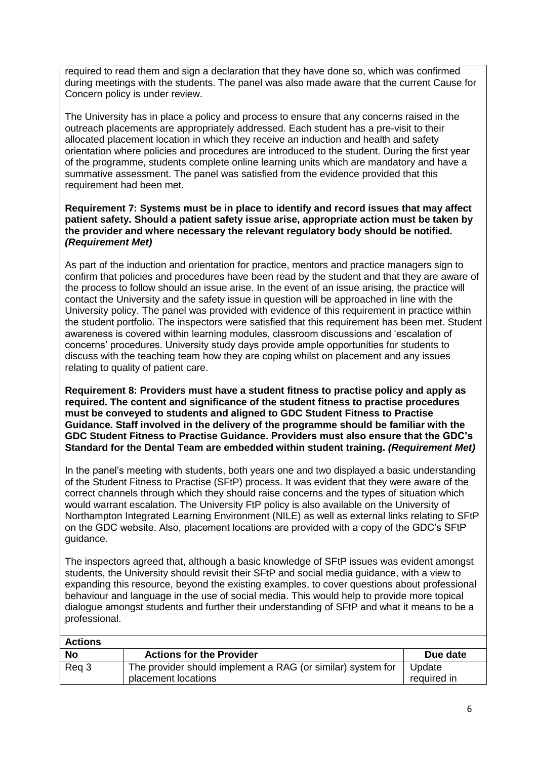required to read them and sign a declaration that they have done so, which was confirmed during meetings with the students. The panel was also made aware that the current Cause for Concern policy is under review.

The University has in place a policy and process to ensure that any concerns raised in the outreach placements are appropriately addressed. Each student has a pre-visit to their allocated placement location in which they receive an induction and health and safety orientation where policies and procedures are introduced to the student. During the first year of the programme, students complete online learning units which are mandatory and have a summative assessment. The panel was satisfied from the evidence provided that this requirement had been met.

#### **Requirement 7: Systems must be in place to identify and record issues that may affect patient safety. Should a patient safety issue arise, appropriate action must be taken by the provider and where necessary the relevant regulatory body should be notified.** *(Requirement Met)*

As part of the induction and orientation for practice, mentors and practice managers sign to confirm that policies and procedures have been read by the student and that they are aware of the process to follow should an issue arise. In the event of an issue arising, the practice will contact the University and the safety issue in question will be approached in line with the University policy. The panel was provided with evidence of this requirement in practice within the student portfolio. The inspectors were satisfied that this requirement has been met. Student awareness is covered within learning modules, classroom discussions and 'escalation of concerns' procedures. University study days provide ample opportunities for students to discuss with the teaching team how they are coping whilst on placement and any issues relating to quality of patient care.

**Requirement 8: Providers must have a student fitness to practise policy and apply as required. The content and significance of the student fitness to practise procedures must be conveyed to students and aligned to GDC Student Fitness to Practise Guidance. Staff involved in the delivery of the programme should be familiar with the GDC Student Fitness to Practise Guidance. Providers must also ensure that the GDC's Standard for the Dental Team are embedded within student training.** *(Requirement Met)*

In the panel's meeting with students, both years one and two displayed a basic understanding of the Student Fitness to Practise (SFtP) process. It was evident that they were aware of the correct channels through which they should raise concerns and the types of situation which would warrant escalation. The University FtP policy is also available on the University of Northampton Integrated Learning Environment (NILE) as well as external links relating to SFtP on the GDC website. Also, placement locations are provided with a copy of the GDC's SFtP guidance.

The inspectors agreed that, although a basic knowledge of SFtP issues was evident amongst students, the University should revisit their SFtP and social media guidance, with a view to expanding this resource, beyond the existing examples, to cover questions about professional behaviour and language in the use of social media. This would help to provide more topical dialogue amongst students and further their understanding of SFtP and what it means to be a professional.

| <b>Actions</b> |                                                                                    |                       |
|----------------|------------------------------------------------------------------------------------|-----------------------|
| <b>No</b>      | <b>Actions for the Provider</b>                                                    | Due date              |
| Reg 3          | The provider should implement a RAG (or similar) system for<br>placement locations | Update<br>required in |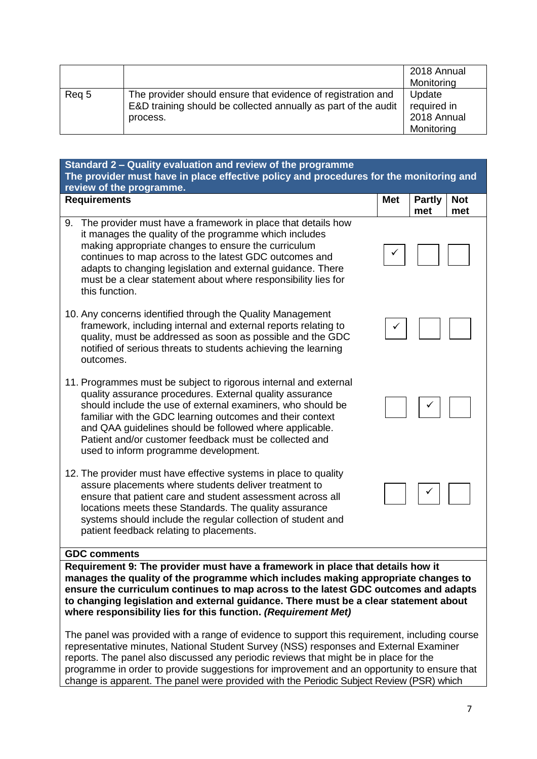|       |                                                                                                                                            | 2018 Annual<br>Monitoring                          |
|-------|--------------------------------------------------------------------------------------------------------------------------------------------|----------------------------------------------------|
| Reg 5 | The provider should ensure that evidence of registration and<br>E&D training should be collected annually as part of the audit<br>process. | Update<br>required in<br>2018 Annual<br>Monitoring |

| Standard 2 – Quality evaluation and review of the programme<br>The provider must have in place effective policy and procedures for the monitoring and                                                                                                                                                                                                                                                                  |            |                      |                   |
|------------------------------------------------------------------------------------------------------------------------------------------------------------------------------------------------------------------------------------------------------------------------------------------------------------------------------------------------------------------------------------------------------------------------|------------|----------------------|-------------------|
| review of the programme.                                                                                                                                                                                                                                                                                                                                                                                               |            |                      |                   |
| <b>Requirements</b>                                                                                                                                                                                                                                                                                                                                                                                                    | <b>Met</b> | <b>Partly</b><br>met | <b>Not</b><br>met |
| The provider must have a framework in place that details how<br>9.<br>it manages the quality of the programme which includes<br>making appropriate changes to ensure the curriculum<br>continues to map across to the latest GDC outcomes and<br>adapts to changing legislation and external guidance. There<br>must be a clear statement about where responsibility lies for<br>this function.                        |            |                      |                   |
| 10. Any concerns identified through the Quality Management<br>framework, including internal and external reports relating to<br>quality, must be addressed as soon as possible and the GDC<br>notified of serious threats to students achieving the learning<br>outcomes.                                                                                                                                              |            |                      |                   |
| 11. Programmes must be subject to rigorous internal and external<br>quality assurance procedures. External quality assurance<br>should include the use of external examiners, who should be<br>familiar with the GDC learning outcomes and their context<br>and QAA guidelines should be followed where applicable.<br>Patient and/or customer feedback must be collected and<br>used to inform programme development. |            |                      |                   |
| 12. The provider must have effective systems in place to quality<br>assure placements where students deliver treatment to<br>ensure that patient care and student assessment across all<br>locations meets these Standards. The quality assurance<br>systems should include the regular collection of student and<br>patient feedback relating to placements.                                                          |            |                      |                   |
| <b>GDC comments</b>                                                                                                                                                                                                                                                                                                                                                                                                    |            |                      |                   |
| Requirement 9: The provider must have a framework in place that details how it<br>manages the quality of the programme which includes making appropriate changes to<br>ancura the eurriculum continues to man serges to the letest CDC euteemes and adopte                                                                                                                                                             |            |                      |                   |

**ensure the curriculum continues to map across to the latest GDC outcomes and adapts to changing legislation and external guidance. There must be a clear statement about where responsibility lies for this function.** *(Requirement Met)*

The panel was provided with a range of evidence to support this requirement, including course representative minutes, National Student Survey (NSS) responses and External Examiner reports. The panel also discussed any periodic reviews that might be in place for the programme in order to provide suggestions for improvement and an opportunity to ensure that change is apparent. The panel were provided with the Periodic Subject Review (PSR) which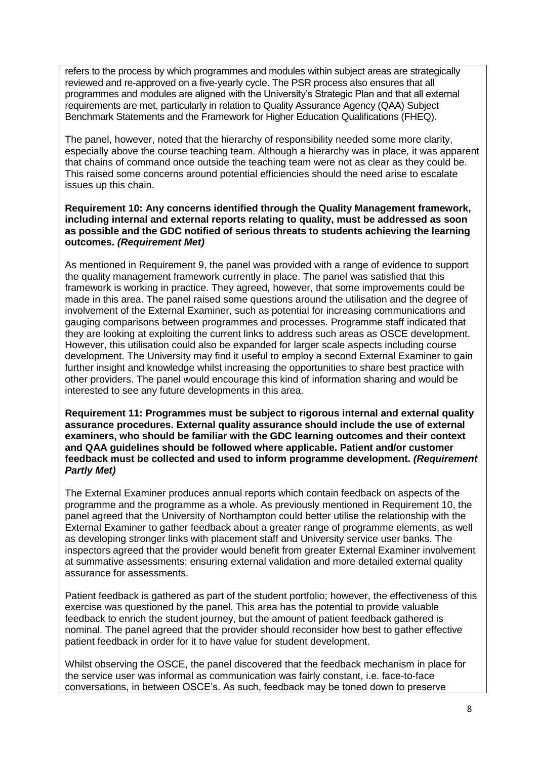refers to the process by which programmes and modules within subject areas are strategically reviewed and re-approved on a five-yearly cycle. The PSR process also ensures that all programmes and modules are aligned with the University's Strategic Plan and that all external requirements are met, particularly in relation to Quality Assurance Agency (QAA) Subject Benchmark Statements and the Framework for Higher Education Qualifications (FHEQ).

The panel, however, noted that the hierarchy of responsibility needed some more clarity, especially above the course teaching team. Although a hierarchy was in place, it was apparent that chains of command once outside the teaching team were not as clear as they could be. This raised some concerns around potential efficiencies should the need arise to escalate issues up this chain.

#### **Requirement 10: Any concerns identified through the Quality Management framework, including internal and external reports relating to quality, must be addressed as soon as possible and the GDC notified of serious threats to students achieving the learning outcomes.** *(Requirement Met)*

As mentioned in Requirement 9, the panel was provided with a range of evidence to support the quality management framework currently in place. The panel was satisfied that this framework is working in practice. They agreed, however, that some improvements could be made in this area. The panel raised some questions around the utilisation and the degree of involvement of the External Examiner, such as potential for increasing communications and gauging comparisons between programmes and processes. Programme staff indicated that they are looking at exploiting the current links to address such areas as OSCE development. However, this utilisation could also be expanded for larger scale aspects including course development. The University may find it useful to employ a second External Examiner to gain further insight and knowledge whilst increasing the opportunities to share best practice with other providers. The panel would encourage this kind of information sharing and would be interested to see any future developments in this area.

**Requirement 11: Programmes must be subject to rigorous internal and external quality assurance procedures. External quality assurance should include the use of external examiners, who should be familiar with the GDC learning outcomes and their context and QAA guidelines should be followed where applicable. Patient and/or customer feedback must be collected and used to inform programme development.** *(Requirement Partly Met)*

The External Examiner produces annual reports which contain feedback on aspects of the programme and the programme as a whole. As previously mentioned in Requirement 10, the panel agreed that the University of Northampton could better utilise the relationship with the External Examiner to gather feedback about a greater range of programme elements, as well as developing stronger links with placement staff and University service user banks. The inspectors agreed that the provider would benefit from greater External Examiner involvement at summative assessments; ensuring external validation and more detailed external quality assurance for assessments.

Patient feedback is gathered as part of the student portfolio; however, the effectiveness of this exercise was questioned by the panel. This area has the potential to provide valuable feedback to enrich the student journey, but the amount of patient feedback gathered is nominal. The panel agreed that the provider should reconsider how best to gather effective patient feedback in order for it to have value for student development.

Whilst observing the OSCE, the panel discovered that the feedback mechanism in place for the service user was informal as communication was fairly constant, i.e. face-to-face conversations, in between OSCE's. As such, feedback may be toned down to preserve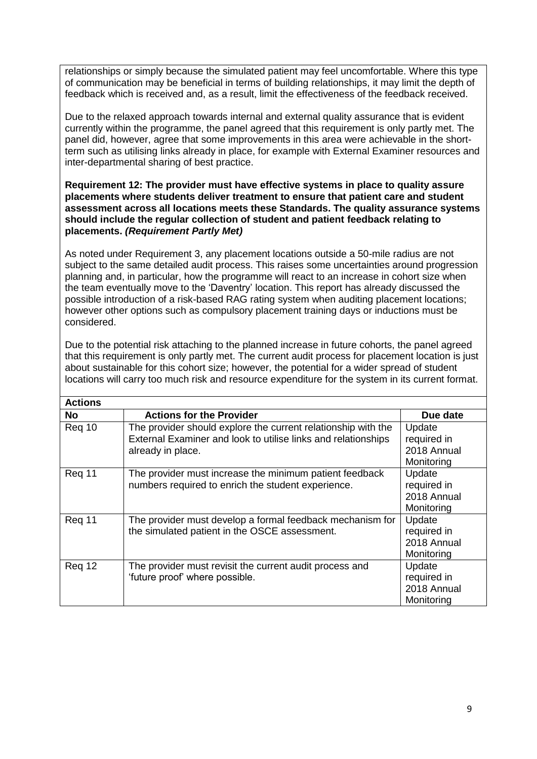relationships or simply because the simulated patient may feel uncomfortable. Where this type of communication may be beneficial in terms of building relationships, it may limit the depth of feedback which is received and, as a result, limit the effectiveness of the feedback received.

Due to the relaxed approach towards internal and external quality assurance that is evident currently within the programme, the panel agreed that this requirement is only partly met. The panel did, however, agree that some improvements in this area were achievable in the shortterm such as utilising links already in place, for example with External Examiner resources and inter-departmental sharing of best practice.

#### **Requirement 12: The provider must have effective systems in place to quality assure placements where students deliver treatment to ensure that patient care and student assessment across all locations meets these Standards. The quality assurance systems should include the regular collection of student and patient feedback relating to placements.** *(Requirement Partly Met)*

As noted under Requirement 3, any placement locations outside a 50-mile radius are not subject to the same detailed audit process. This raises some uncertainties around progression planning and, in particular, how the programme will react to an increase in cohort size when the team eventually move to the 'Daventry' location. This report has already discussed the possible introduction of a risk-based RAG rating system when auditing placement locations; however other options such as compulsory placement training days or inductions must be considered.

Due to the potential risk attaching to the planned increase in future cohorts, the panel agreed that this requirement is only partly met. The current audit process for placement location is just about sustainable for this cohort size; however, the potential for a wider spread of student locations will carry too much risk and resource expenditure for the system in its current format.

| <b>Actions</b> |                                                                                                                                                     |                                                    |
|----------------|-----------------------------------------------------------------------------------------------------------------------------------------------------|----------------------------------------------------|
| No             | <b>Actions for the Provider</b>                                                                                                                     | Due date                                           |
| Req 10         | The provider should explore the current relationship with the<br>External Examiner and look to utilise links and relationships<br>already in place. | Update<br>required in<br>2018 Annual<br>Monitoring |
| Reg 11         | The provider must increase the minimum patient feedback<br>numbers required to enrich the student experience.                                       | Update<br>required in<br>2018 Annual<br>Monitoring |
| Reg 11         | The provider must develop a formal feedback mechanism for<br>the simulated patient in the OSCE assessment.                                          | Update<br>required in<br>2018 Annual<br>Monitoring |
| Req 12         | The provider must revisit the current audit process and<br>'future proof' where possible.                                                           | Update<br>required in<br>2018 Annual<br>Monitoring |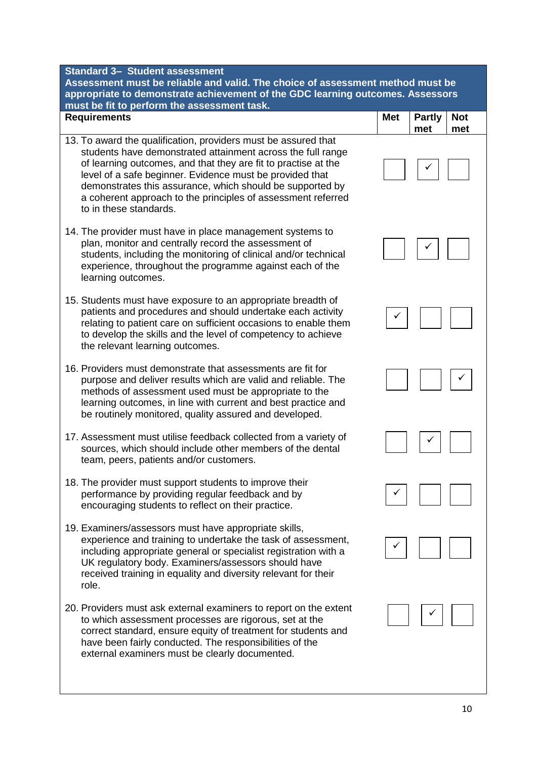**Standard 3– Student assessment**

**Assessment must be reliable and valid. The choice of assessment method must be appropriate to demonstrate achievement of the GDC learning outcomes. Assessors must be fit to perform the assessment task.**

- **Requirements Met Partly met Not met** 13. To award the qualification, providers must be assured that students have demonstrated attainment across the full range of learning outcomes, and that they are fit to practise at the level of a safe beginner. Evidence must be provided that demonstrates this assurance, which should be supported by a coherent approach to the principles of assessment referred to in these standards. 14. The provider must have in place management systems to plan, monitor and centrally record the assessment of students, including the monitoring of clinical and/or technical experience, throughout the programme against each of the learning outcomes. 15. Students must have exposure to an appropriate breadth of patients and procedures and should undertake each activity relating to patient care on sufficient occasions to enable them to develop the skills and the level of competency to achieve the relevant learning outcomes. 16. Providers must demonstrate that assessments are fit for purpose and deliver results which are valid and reliable. The methods of assessment used must be appropriate to the learning outcomes, in line with current and best practice and be routinely monitored, quality assured and developed. 17. Assessment must utilise feedback collected from a variety of sources, which should include other members of the dental team, peers, patients and/or customers. 18. The provider must support students to improve their performance by providing regular feedback and by encouraging students to reflect on their practice. 19. Examiners/assessors must have appropriate skills, experience and training to undertake the task of assessment, including appropriate general or specialist registration with a UK regulatory body. Examiners/assessors should have received training in equality and diversity relevant for their role. ✓ ✓ ✓ ✓ ✓ ✓ ✓
- 20. Providers must ask external examiners to report on the extent to which assessment processes are rigorous, set at the correct standard, ensure equity of treatment for students and have been fairly conducted. The responsibilities of the external examiners must be clearly documented.

✓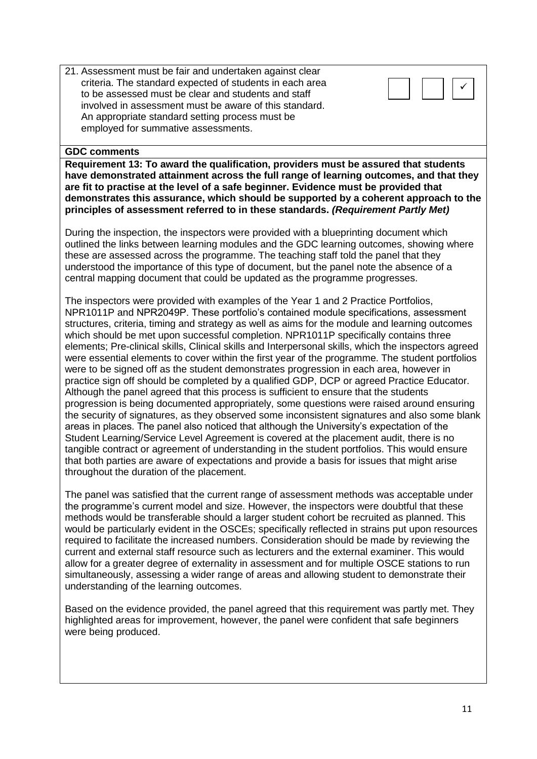21. Assessment must be fair and undertaken against clear criteria. The standard expected of students in each area to be assessed must be clear and students and staff involved in assessment must be aware of this standard. An appropriate standard setting process must be employed for summative assessments.

#### **GDC comments**

**Requirement 13: To award the qualification, providers must be assured that students have demonstrated attainment across the full range of learning outcomes, and that they are fit to practise at the level of a safe beginner. Evidence must be provided that demonstrates this assurance, which should be supported by a coherent approach to the principles of assessment referred to in these standards.** *(Requirement Partly Met)*

During the inspection, the inspectors were provided with a blueprinting document which outlined the links between learning modules and the GDC learning outcomes, showing where these are assessed across the programme. The teaching staff told the panel that they understood the importance of this type of document, but the panel note the absence of a central mapping document that could be updated as the programme progresses.

The inspectors were provided with examples of the Year 1 and 2 Practice Portfolios, NPR1011P and NPR2049P. These portfolio's contained module specifications, assessment structures, criteria, timing and strategy as well as aims for the module and learning outcomes which should be met upon successful completion. NPR1011P specifically contains three elements; Pre-clinical skills, Clinical skills and Interpersonal skills, which the inspectors agreed were essential elements to cover within the first year of the programme. The student portfolios were to be signed off as the student demonstrates progression in each area, however in practice sign off should be completed by a qualified GDP, DCP or agreed Practice Educator. Although the panel agreed that this process is sufficient to ensure that the students progression is being documented appropriately, some questions were raised around ensuring the security of signatures, as they observed some inconsistent signatures and also some blank areas in places. The panel also noticed that although the University's expectation of the Student Learning/Service Level Agreement is covered at the placement audit, there is no tangible contract or agreement of understanding in the student portfolios. This would ensure that both parties are aware of expectations and provide a basis for issues that might arise throughout the duration of the placement.

The panel was satisfied that the current range of assessment methods was acceptable under the programme's current model and size. However, the inspectors were doubtful that these methods would be transferable should a larger student cohort be recruited as planned. This would be particularly evident in the OSCEs; specifically reflected in strains put upon resources required to facilitate the increased numbers. Consideration should be made by reviewing the current and external staff resource such as lecturers and the external examiner. This would allow for a greater degree of externality in assessment and for multiple OSCE stations to run simultaneously, assessing a wider range of areas and allowing student to demonstrate their understanding of the learning outcomes.

Based on the evidence provided, the panel agreed that this requirement was partly met. They highlighted areas for improvement, however, the panel were confident that safe beginners were being produced.

✓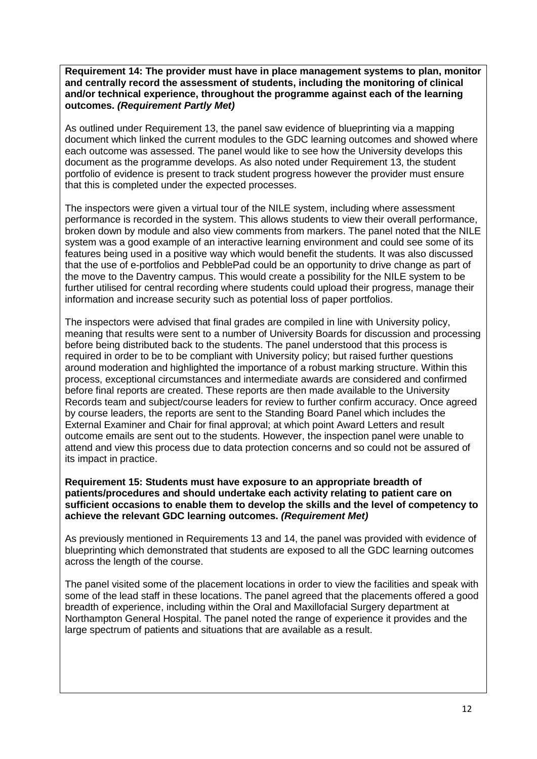**Requirement 14: The provider must have in place management systems to plan, monitor and centrally record the assessment of students, including the monitoring of clinical and/or technical experience, throughout the programme against each of the learning outcomes.** *(Requirement Partly Met)*

As outlined under Requirement 13, the panel saw evidence of blueprinting via a mapping document which linked the current modules to the GDC learning outcomes and showed where each outcome was assessed. The panel would like to see how the University develops this document as the programme develops. As also noted under Requirement 13, the student portfolio of evidence is present to track student progress however the provider must ensure that this is completed under the expected processes.

The inspectors were given a virtual tour of the NILE system, including where assessment performance is recorded in the system. This allows students to view their overall performance, broken down by module and also view comments from markers. The panel noted that the NILE system was a good example of an interactive learning environment and could see some of its features being used in a positive way which would benefit the students. It was also discussed that the use of e-portfolios and PebblePad could be an opportunity to drive change as part of the move to the Daventry campus. This would create a possibility for the NILE system to be further utilised for central recording where students could upload their progress, manage their information and increase security such as potential loss of paper portfolios.

The inspectors were advised that final grades are compiled in line with University policy, meaning that results were sent to a number of University Boards for discussion and processing before being distributed back to the students. The panel understood that this process is required in order to be to be compliant with University policy; but raised further questions around moderation and highlighted the importance of a robust marking structure. Within this process, exceptional circumstances and intermediate awards are considered and confirmed before final reports are created. These reports are then made available to the University Records team and subject/course leaders for review to further confirm accuracy. Once agreed by course leaders, the reports are sent to the Standing Board Panel which includes the External Examiner and Chair for final approval; at which point Award Letters and result outcome emails are sent out to the students. However, the inspection panel were unable to attend and view this process due to data protection concerns and so could not be assured of its impact in practice.

#### **Requirement 15: Students must have exposure to an appropriate breadth of patients/procedures and should undertake each activity relating to patient care on sufficient occasions to enable them to develop the skills and the level of competency to achieve the relevant GDC learning outcomes.** *(Requirement Met)*

As previously mentioned in Requirements 13 and 14, the panel was provided with evidence of blueprinting which demonstrated that students are exposed to all the GDC learning outcomes across the length of the course.

The panel visited some of the placement locations in order to view the facilities and speak with some of the lead staff in these locations. The panel agreed that the placements offered a good breadth of experience, including within the Oral and Maxillofacial Surgery department at Northampton General Hospital. The panel noted the range of experience it provides and the large spectrum of patients and situations that are available as a result.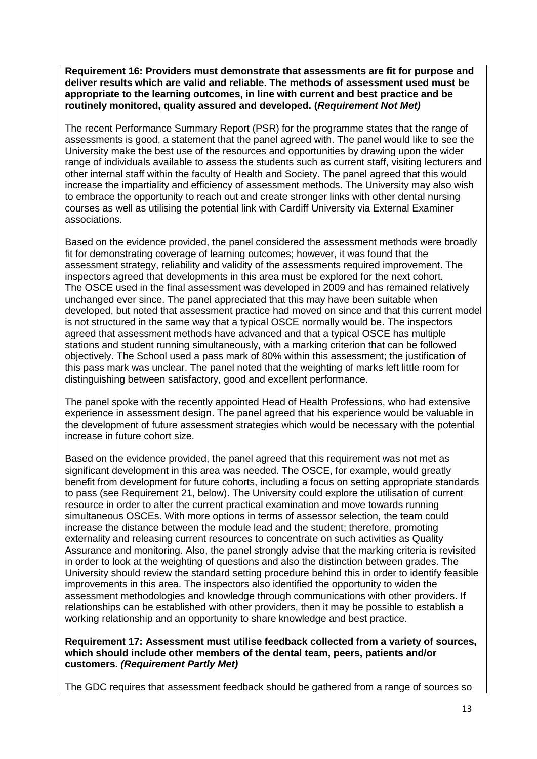**Requirement 16: Providers must demonstrate that assessments are fit for purpose and deliver results which are valid and reliable. The methods of assessment used must be appropriate to the learning outcomes, in line with current and best practice and be routinely monitored, quality assured and developed. (***Requirement Not Met)*

The recent Performance Summary Report (PSR) for the programme states that the range of assessments is good, a statement that the panel agreed with. The panel would like to see the University make the best use of the resources and opportunities by drawing upon the wider range of individuals available to assess the students such as current staff, visiting lecturers and other internal staff within the faculty of Health and Society. The panel agreed that this would increase the impartiality and efficiency of assessment methods. The University may also wish to embrace the opportunity to reach out and create stronger links with other dental nursing courses as well as utilising the potential link with Cardiff University via External Examiner associations.

Based on the evidence provided, the panel considered the assessment methods were broadly fit for demonstrating coverage of learning outcomes; however, it was found that the assessment strategy, reliability and validity of the assessments required improvement. The inspectors agreed that developments in this area must be explored for the next cohort. The OSCE used in the final assessment was developed in 2009 and has remained relatively unchanged ever since. The panel appreciated that this may have been suitable when developed, but noted that assessment practice had moved on since and that this current model is not structured in the same way that a typical OSCE normally would be. The inspectors agreed that assessment methods have advanced and that a typical OSCE has multiple stations and student running simultaneously, with a marking criterion that can be followed objectively. The School used a pass mark of 80% within this assessment; the justification of this pass mark was unclear. The panel noted that the weighting of marks left little room for distinguishing between satisfactory, good and excellent performance.

The panel spoke with the recently appointed Head of Health Professions, who had extensive experience in assessment design. The panel agreed that his experience would be valuable in the development of future assessment strategies which would be necessary with the potential increase in future cohort size.

Based on the evidence provided, the panel agreed that this requirement was not met as significant development in this area was needed. The OSCE, for example, would greatly benefit from development for future cohorts, including a focus on setting appropriate standards to pass (see Requirement 21, below). The University could explore the utilisation of current resource in order to alter the current practical examination and move towards running simultaneous OSCEs. With more options in terms of assessor selection, the team could increase the distance between the module lead and the student; therefore, promoting externality and releasing current resources to concentrate on such activities as Quality Assurance and monitoring. Also, the panel strongly advise that the marking criteria is revisited in order to look at the weighting of questions and also the distinction between grades. The University should review the standard setting procedure behind this in order to identify feasible improvements in this area. The inspectors also identified the opportunity to widen the assessment methodologies and knowledge through communications with other providers. If relationships can be established with other providers, then it may be possible to establish a working relationship and an opportunity to share knowledge and best practice.

**Requirement 17: Assessment must utilise feedback collected from a variety of sources, which should include other members of the dental team, peers, patients and/or customers.** *(Requirement Partly Met)*

The GDC requires that assessment feedback should be gathered from a range of sources so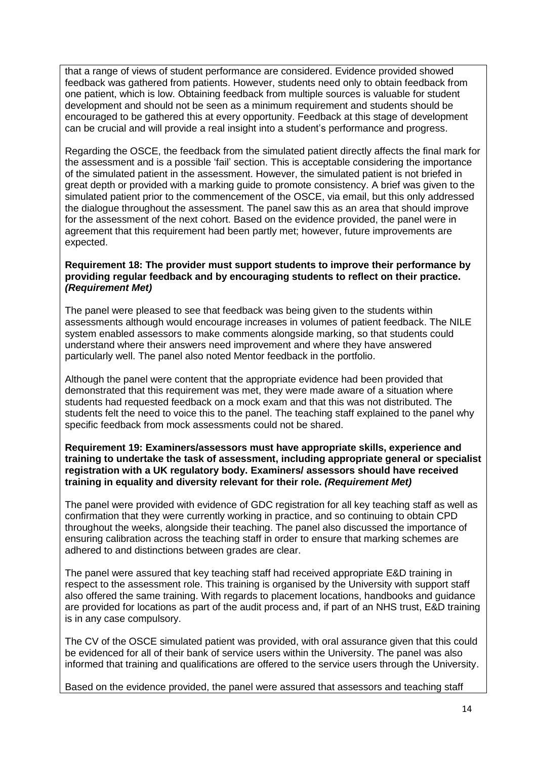that a range of views of student performance are considered. Evidence provided showed feedback was gathered from patients. However, students need only to obtain feedback from one patient, which is low. Obtaining feedback from multiple sources is valuable for student development and should not be seen as a minimum requirement and students should be encouraged to be gathered this at every opportunity. Feedback at this stage of development can be crucial and will provide a real insight into a student's performance and progress.

Regarding the OSCE, the feedback from the simulated patient directly affects the final mark for the assessment and is a possible 'fail' section. This is acceptable considering the importance of the simulated patient in the assessment. However, the simulated patient is not briefed in great depth or provided with a marking guide to promote consistency. A brief was given to the simulated patient prior to the commencement of the OSCE, via email, but this only addressed the dialogue throughout the assessment. The panel saw this as an area that should improve for the assessment of the next cohort. Based on the evidence provided, the panel were in agreement that this requirement had been partly met; however, future improvements are expected.

#### **Requirement 18: The provider must support students to improve their performance by providing regular feedback and by encouraging students to reflect on their practice.** *(Requirement Met)*

The panel were pleased to see that feedback was being given to the students within assessments although would encourage increases in volumes of patient feedback. The NILE system enabled assessors to make comments alongside marking, so that students could understand where their answers need improvement and where they have answered particularly well. The panel also noted Mentor feedback in the portfolio.

Although the panel were content that the appropriate evidence had been provided that demonstrated that this requirement was met, they were made aware of a situation where students had requested feedback on a mock exam and that this was not distributed. The students felt the need to voice this to the panel. The teaching staff explained to the panel why specific feedback from mock assessments could not be shared.

#### **Requirement 19: Examiners/assessors must have appropriate skills, experience and training to undertake the task of assessment, including appropriate general or specialist registration with a UK regulatory body. Examiners/ assessors should have received training in equality and diversity relevant for their role.** *(Requirement Met)*

The panel were provided with evidence of GDC registration for all key teaching staff as well as confirmation that they were currently working in practice, and so continuing to obtain CPD throughout the weeks, alongside their teaching. The panel also discussed the importance of ensuring calibration across the teaching staff in order to ensure that marking schemes are adhered to and distinctions between grades are clear.

The panel were assured that key teaching staff had received appropriate E&D training in respect to the assessment role. This training is organised by the University with support staff also offered the same training. With regards to placement locations, handbooks and guidance are provided for locations as part of the audit process and, if part of an NHS trust, E&D training is in any case compulsory.

The CV of the OSCE simulated patient was provided, with oral assurance given that this could be evidenced for all of their bank of service users within the University. The panel was also informed that training and qualifications are offered to the service users through the University.

Based on the evidence provided, the panel were assured that assessors and teaching staff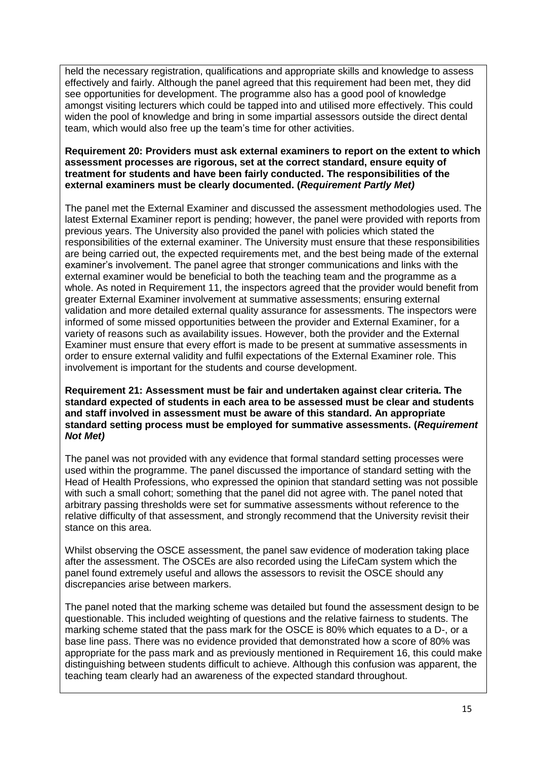held the necessary registration, qualifications and appropriate skills and knowledge to assess effectively and fairly. Although the panel agreed that this requirement had been met, they did see opportunities for development. The programme also has a good pool of knowledge amongst visiting lecturers which could be tapped into and utilised more effectively. This could widen the pool of knowledge and bring in some impartial assessors outside the direct dental team, which would also free up the team's time for other activities.

#### **Requirement 20: Providers must ask external examiners to report on the extent to which assessment processes are rigorous, set at the correct standard, ensure equity of treatment for students and have been fairly conducted. The responsibilities of the external examiners must be clearly documented. (***Requirement Partly Met)*

The panel met the External Examiner and discussed the assessment methodologies used. The latest External Examiner report is pending; however, the panel were provided with reports from previous years. The University also provided the panel with policies which stated the responsibilities of the external examiner. The University must ensure that these responsibilities are being carried out, the expected requirements met, and the best being made of the external examiner's involvement. The panel agree that stronger communications and links with the external examiner would be beneficial to both the teaching team and the programme as a whole. As noted in Requirement 11, the inspectors agreed that the provider would benefit from greater External Examiner involvement at summative assessments; ensuring external validation and more detailed external quality assurance for assessments. The inspectors were informed of some missed opportunities between the provider and External Examiner, for a variety of reasons such as availability issues. However, both the provider and the External Examiner must ensure that every effort is made to be present at summative assessments in order to ensure external validity and fulfil expectations of the External Examiner role. This involvement is important for the students and course development.

**Requirement 21: Assessment must be fair and undertaken against clear criteria. The standard expected of students in each area to be assessed must be clear and students and staff involved in assessment must be aware of this standard. An appropriate standard setting process must be employed for summative assessments. (***Requirement Not Met)*

The panel was not provided with any evidence that formal standard setting processes were used within the programme. The panel discussed the importance of standard setting with the Head of Health Professions, who expressed the opinion that standard setting was not possible with such a small cohort; something that the panel did not agree with. The panel noted that arbitrary passing thresholds were set for summative assessments without reference to the relative difficulty of that assessment, and strongly recommend that the University revisit their stance on this area.

Whilst observing the OSCE assessment, the panel saw evidence of moderation taking place after the assessment. The OSCEs are also recorded using the LifeCam system which the panel found extremely useful and allows the assessors to revisit the OSCE should any discrepancies arise between markers.

The panel noted that the marking scheme was detailed but found the assessment design to be questionable. This included weighting of questions and the relative fairness to students. The marking scheme stated that the pass mark for the OSCE is 80% which equates to a D-, or a base line pass. There was no evidence provided that demonstrated how a score of 80% was appropriate for the pass mark and as previously mentioned in Requirement 16, this could make distinguishing between students difficult to achieve. Although this confusion was apparent, the teaching team clearly had an awareness of the expected standard throughout.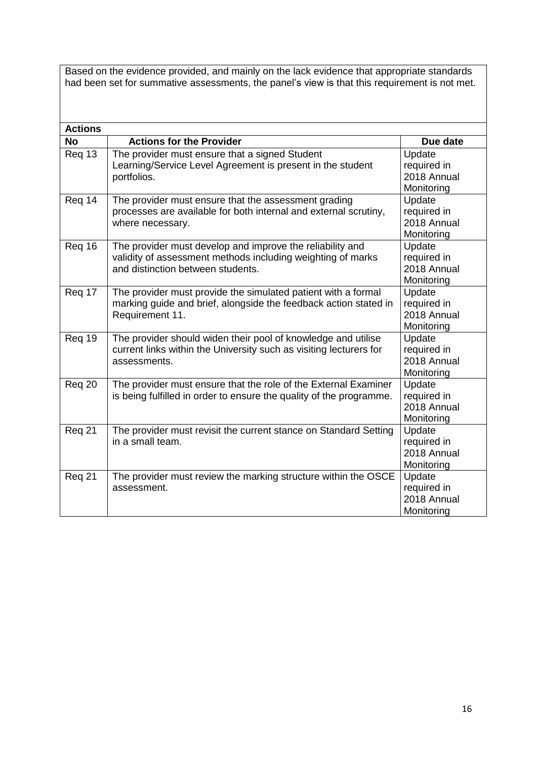Based on the evidence provided, and mainly on the lack evidence that appropriate standards had been set for summative assessments, the panel's view is that this requirement is not met.

| <b>Actions</b> |                                                                                                                                                               |                                                    |
|----------------|---------------------------------------------------------------------------------------------------------------------------------------------------------------|----------------------------------------------------|
| <b>No</b>      | <b>Actions for the Provider</b>                                                                                                                               | Due date                                           |
| Reg 13         | The provider must ensure that a signed Student<br>Learning/Service Level Agreement is present in the student<br>portfolios.                                   | Update<br>required in<br>2018 Annual<br>Monitoring |
| Req 14         | The provider must ensure that the assessment grading<br>processes are available for both internal and external scrutiny,<br>where necessary.                  | Update<br>required in<br>2018 Annual<br>Monitoring |
| Reg 16         | The provider must develop and improve the reliability and<br>validity of assessment methods including weighting of marks<br>and distinction between students. | Update<br>required in<br>2018 Annual<br>Monitoring |
| Req 17         | The provider must provide the simulated patient with a formal<br>marking guide and brief, alongside the feedback action stated in<br>Requirement 11.          | Update<br>required in<br>2018 Annual<br>Monitoring |
| Req 19         | The provider should widen their pool of knowledge and utilise<br>current links within the University such as visiting lecturers for<br>assessments.           | Update<br>required in<br>2018 Annual<br>Monitoring |
| Req 20         | The provider must ensure that the role of the External Examiner<br>is being fulfilled in order to ensure the quality of the programme.                        | Update<br>required in<br>2018 Annual<br>Monitoring |
| Req 21         | The provider must revisit the current stance on Standard Setting<br>in a small team.                                                                          | Update<br>required in<br>2018 Annual<br>Monitoring |
| Req 21         | The provider must review the marking structure within the OSCE<br>assessment.                                                                                 | Update<br>required in<br>2018 Annual<br>Monitoring |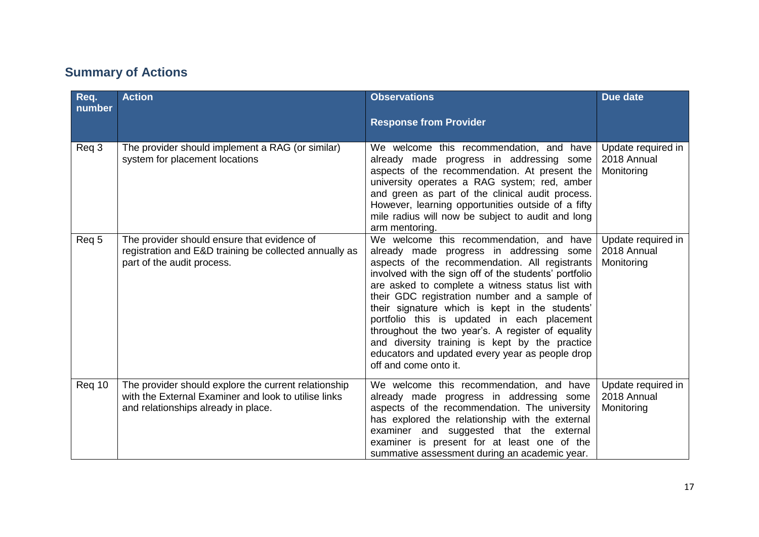## **Summary of Actions**

| Req.<br>number | <b>Action</b>                                                                                                                                       | <b>Observations</b><br><b>Response from Provider</b>                                                                                                                                                                                                                                                                                                                                                                                                                                                                                                                                     | Due date                                        |
|----------------|-----------------------------------------------------------------------------------------------------------------------------------------------------|------------------------------------------------------------------------------------------------------------------------------------------------------------------------------------------------------------------------------------------------------------------------------------------------------------------------------------------------------------------------------------------------------------------------------------------------------------------------------------------------------------------------------------------------------------------------------------------|-------------------------------------------------|
| Req 3          | The provider should implement a RAG (or similar)<br>system for placement locations                                                                  | We welcome this recommendation, and have<br>already made progress in addressing some<br>aspects of the recommendation. At present the<br>university operates a RAG system; red, amber<br>and green as part of the clinical audit process.<br>However, learning opportunities outside of a fifty<br>mile radius will now be subject to audit and long<br>arm mentoring.                                                                                                                                                                                                                   | Update required in<br>2018 Annual<br>Monitoring |
| Req 5          | The provider should ensure that evidence of<br>registration and E&D training be collected annually as<br>part of the audit process.                 | We welcome this recommendation, and have<br>already made progress in addressing some<br>aspects of the recommendation. All registrants<br>involved with the sign off of the students' portfolio<br>are asked to complete a witness status list with<br>their GDC registration number and a sample of<br>their signature which is kept in the students'<br>portfolio this is updated in each placement<br>throughout the two year's. A register of equality<br>and diversity training is kept by the practice<br>educators and updated every year as people drop<br>off and come onto it. | Update required in<br>2018 Annual<br>Monitoring |
| Req 10         | The provider should explore the current relationship<br>with the External Examiner and look to utilise links<br>and relationships already in place. | We welcome this recommendation, and have<br>already made progress in addressing some<br>aspects of the recommendation. The university<br>has explored the relationship with the external<br>examiner and suggested that the external<br>examiner is present for at least one of the<br>summative assessment during an academic year.                                                                                                                                                                                                                                                     | Update required in<br>2018 Annual<br>Monitoring |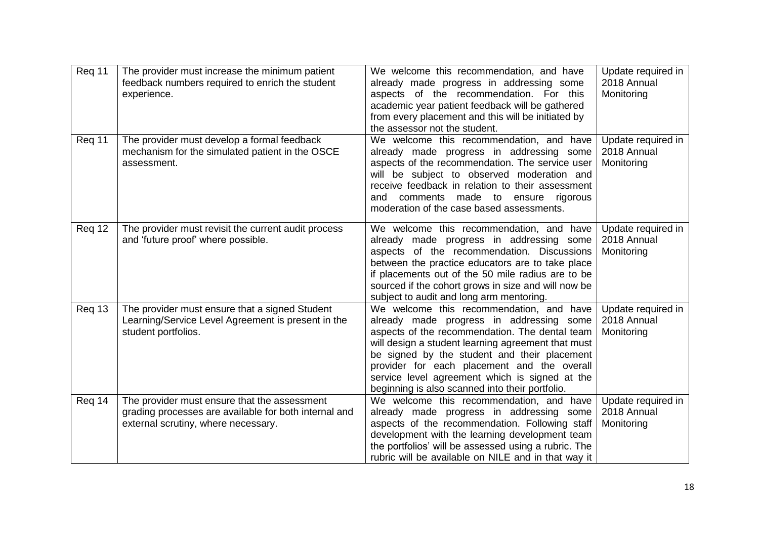| Req 11 | The provider must increase the minimum patient<br>feedback numbers required to enrich the student<br>experience.                             | We welcome this recommendation, and have<br>already made progress in addressing some<br>aspects of the recommendation. For this<br>academic year patient feedback will be gathered<br>from every placement and this will be initiated by<br>the assessor not the student.                                                                                                                        | Update required in<br>2018 Annual<br>Monitoring |
|--------|----------------------------------------------------------------------------------------------------------------------------------------------|--------------------------------------------------------------------------------------------------------------------------------------------------------------------------------------------------------------------------------------------------------------------------------------------------------------------------------------------------------------------------------------------------|-------------------------------------------------|
| Req 11 | The provider must develop a formal feedback<br>mechanism for the simulated patient in the OSCE<br>assessment.                                | We welcome this recommendation, and have<br>already made progress in addressing some<br>aspects of the recommendation. The service user<br>will be subject to observed moderation and<br>receive feedback in relation to their assessment<br>and comments made to ensure rigorous<br>moderation of the case based assessments.                                                                   | Update required in<br>2018 Annual<br>Monitoring |
| Req 12 | The provider must revisit the current audit process<br>and 'future proof' where possible.                                                    | We welcome this recommendation, and have<br>already made progress in addressing some<br>aspects of the recommendation. Discussions<br>between the practice educators are to take place<br>if placements out of the 50 mile radius are to be<br>sourced if the cohort grows in size and will now be<br>subject to audit and long arm mentoring.                                                   | Update required in<br>2018 Annual<br>Monitoring |
| Req 13 | The provider must ensure that a signed Student<br>Learning/Service Level Agreement is present in the<br>student portfolios.                  | We welcome this recommendation, and have<br>already made progress in addressing some<br>aspects of the recommendation. The dental team<br>will design a student learning agreement that must<br>be signed by the student and their placement<br>provider for each placement and the overall<br>service level agreement which is signed at the<br>beginning is also scanned into their portfolio. | Update required in<br>2018 Annual<br>Monitoring |
| Req 14 | The provider must ensure that the assessment<br>grading processes are available for both internal and<br>external scrutiny, where necessary. | We welcome this recommendation, and have<br>already made progress in addressing some<br>aspects of the recommendation. Following staff<br>development with the learning development team<br>the portfolios' will be assessed using a rubric. The<br>rubric will be available on NILE and in that way it                                                                                          | Update required in<br>2018 Annual<br>Monitoring |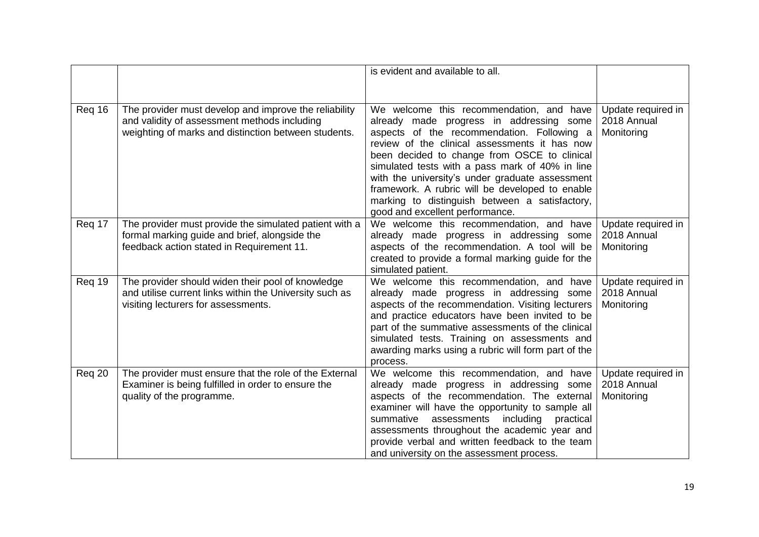|        |                                                                                                                                                      | is evident and available to all.                                                                                                                                                                                                                                                                                                                                                                                                      |                                                 |
|--------|------------------------------------------------------------------------------------------------------------------------------------------------------|---------------------------------------------------------------------------------------------------------------------------------------------------------------------------------------------------------------------------------------------------------------------------------------------------------------------------------------------------------------------------------------------------------------------------------------|-------------------------------------------------|
| Req 16 | The provider must develop and improve the reliability                                                                                                | We welcome this recommendation, and have                                                                                                                                                                                                                                                                                                                                                                                              | Update required in                              |
|        | and validity of assessment methods including<br>weighting of marks and distinction between students.                                                 | already made progress in addressing some<br>aspects of the recommendation. Following a<br>review of the clinical assessments it has now<br>been decided to change from OSCE to clinical<br>simulated tests with a pass mark of 40% in line<br>with the university's under graduate assessment<br>framework. A rubric will be developed to enable<br>marking to distinguish between a satisfactory,<br>good and excellent performance. | 2018 Annual<br>Monitoring                       |
| Req 17 | The provider must provide the simulated patient with a<br>formal marking guide and brief, alongside the<br>feedback action stated in Requirement 11. | We welcome this recommendation, and have<br>already made progress in addressing some<br>aspects of the recommendation. A tool will be<br>created to provide a formal marking guide for the<br>simulated patient.                                                                                                                                                                                                                      | Update required in<br>2018 Annual<br>Monitoring |
| Req 19 | The provider should widen their pool of knowledge<br>and utilise current links within the University such as<br>visiting lecturers for assessments.  | We welcome this recommendation, and have<br>already made progress in addressing some<br>aspects of the recommendation. Visiting lecturers<br>and practice educators have been invited to be<br>part of the summative assessments of the clinical<br>simulated tests. Training on assessments and<br>awarding marks using a rubric will form part of the<br>process.                                                                   | Update required in<br>2018 Annual<br>Monitoring |
| Req 20 | The provider must ensure that the role of the External<br>Examiner is being fulfilled in order to ensure the<br>quality of the programme.            | We welcome this recommendation, and have<br>already made progress in addressing some<br>aspects of the recommendation. The external<br>examiner will have the opportunity to sample all<br>summative<br>assessments<br>including<br>practical<br>assessments throughout the academic year and<br>provide verbal and written feedback to the team<br>and university on the assessment process.                                         | Update required in<br>2018 Annual<br>Monitoring |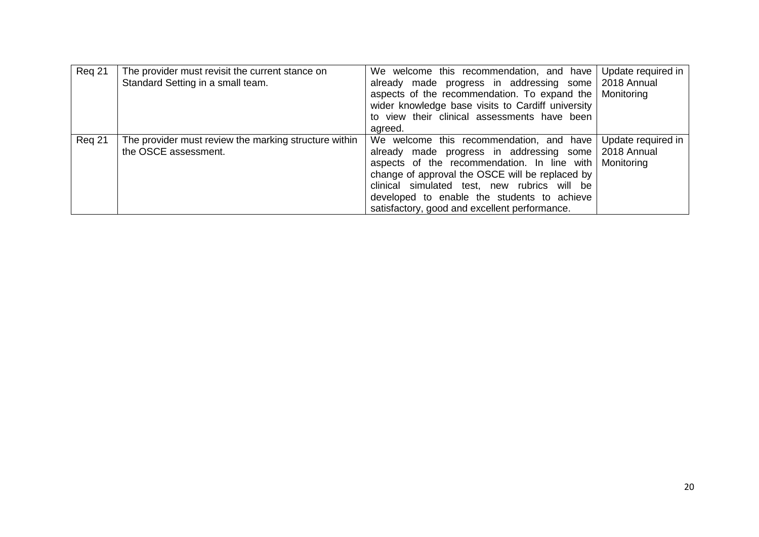| Req 21 | The provider must revisit the current stance on<br>Standard Setting in a small team. | We welcome this recommendation, and have<br>already made progress in addressing some 2018 Annual<br>aspects of the recommendation. To expand the   Monitoring<br>wider knowledge base visits to Cardiff university<br>to view their clinical assessments have been<br>agreed.                                                                      | Update required in               |
|--------|--------------------------------------------------------------------------------------|----------------------------------------------------------------------------------------------------------------------------------------------------------------------------------------------------------------------------------------------------------------------------------------------------------------------------------------------------|----------------------------------|
| Reg 21 | The provider must review the marking structure within<br>the OSCE assessment.        | We welcome this recommendation, and have<br>already made progress in addressing some 2018 Annual<br>aspects of the recommendation. In line with<br>change of approval the OSCE will be replaced by<br>clinical simulated test, new rubrics will be<br>developed to enable the students to achieve<br>satisfactory, good and excellent performance. | Update required in<br>Monitoring |